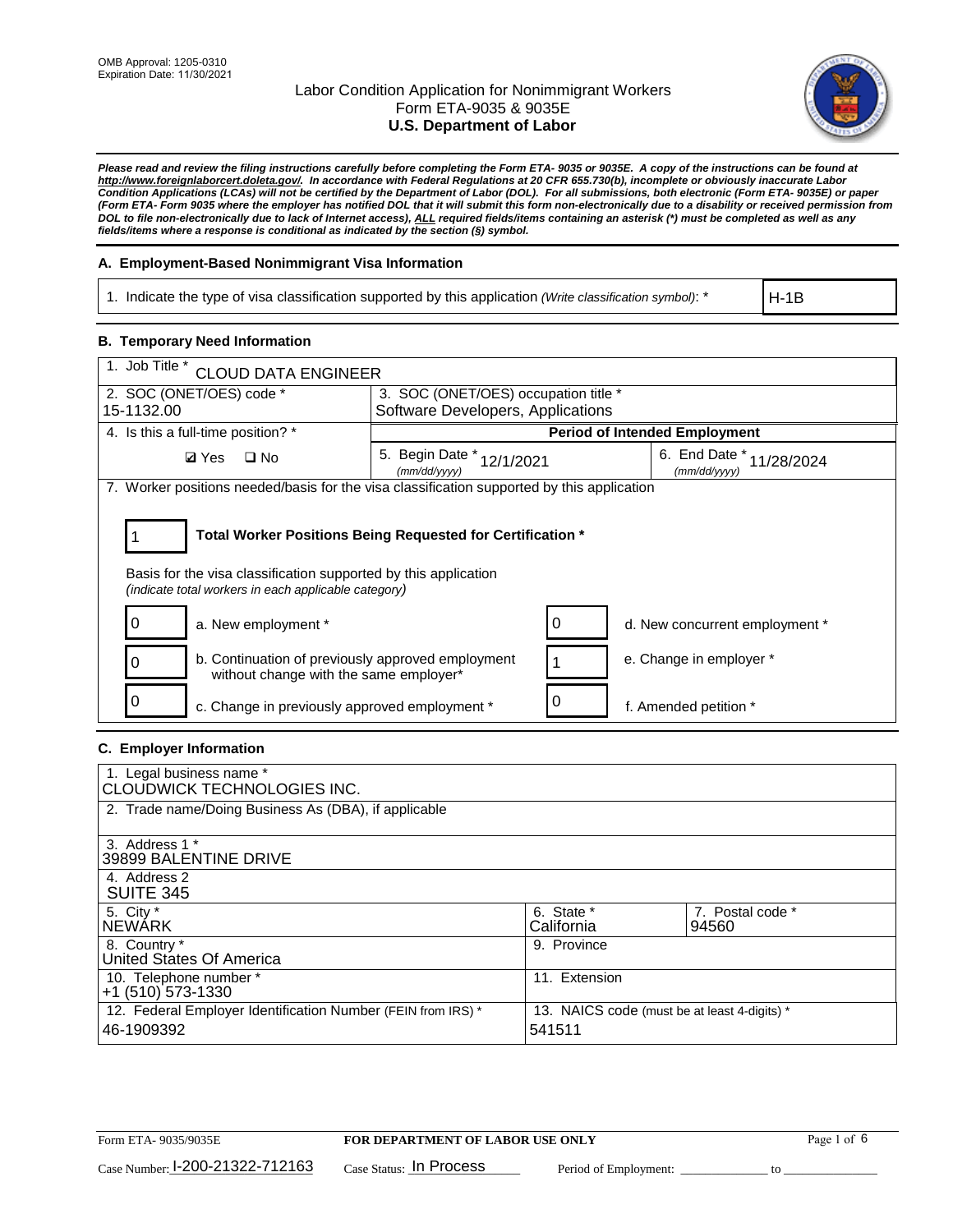

*Please read and review the filing instructions carefully before completing the Form ETA- 9035 or 9035E. A copy of the instructions can be found at [http://www.foreignlaborcert.doleta.gov/.](http://www.foreignlaborcert.doleta.gov/) In accordance with Federal Regulations at 20 CFR 655.730(b), incomplete or obviously inaccurate Labor Condition Applications (LCAs) will not be certified by the Department of Labor (DOL). For all submissions, both electronic (Form ETA- 9035E) or paper (Form ETA- Form 9035 where the employer has notified DOL that it will submit this form non-electronically due to a disability or received permission from DOL to file non-electronically due to lack of Internet access), ALL required fields/items containing an asterisk (\*) must be completed as well as any fields/items where a response is conditional as indicated by the section (§) symbol.* 

## **A. Employment-Based Nonimmigrant Visa Information**

1. Indicate the type of visa classification supported by this application *(Write classification symbol)*: \*

H-1B

### **B. Temporary Need Information**

| 1. Job Title *<br><b>CLOUD DATA ENGINEER</b>                                                                                                                                          |                                           |   |                                              |  |  |  |
|---------------------------------------------------------------------------------------------------------------------------------------------------------------------------------------|-------------------------------------------|---|----------------------------------------------|--|--|--|
| 2. SOC (ONET/OES) code *<br>3. SOC (ONET/OES) occupation title *                                                                                                                      |                                           |   |                                              |  |  |  |
| 15-1132.00                                                                                                                                                                            | Software Developers, Applications         |   |                                              |  |  |  |
| 4. Is this a full-time position? *                                                                                                                                                    | <b>Period of Intended Employment</b>      |   |                                              |  |  |  |
| $\Box$ No<br><b>Ø</b> Yes                                                                                                                                                             | 5. Begin Date * 12/1/2021<br>(mm/dd/yyyy) |   | 6. End Date $*_{11/28/2024}$<br>(mm/dd/yyyy) |  |  |  |
| 7. Worker positions needed/basis for the visa classification supported by this application                                                                                            |                                           |   |                                              |  |  |  |
| Total Worker Positions Being Requested for Certification *<br>Basis for the visa classification supported by this application<br>(indicate total workers in each applicable category) |                                           |   |                                              |  |  |  |
| a. New employment *                                                                                                                                                                   |                                           | 0 | d. New concurrent employment *               |  |  |  |
| b. Continuation of previously approved employment<br>without change with the same employer*                                                                                           |                                           |   | e. Change in employer *                      |  |  |  |
| c. Change in previously approved employment *                                                                                                                                         |                                           |   | f. Amended petition *                        |  |  |  |

### **C. Employer Information**

| 1. Legal business name *<br>CLOUDWICK TECHNOLOGIES INC.                    |                                                        |                           |
|----------------------------------------------------------------------------|--------------------------------------------------------|---------------------------|
| 2. Trade name/Doing Business As (DBA), if applicable                       |                                                        |                           |
| 3. Address 1 *<br>39899 BALENTINE DRIVE                                    |                                                        |                           |
| 4. Address 2<br><b>SUITE 345</b>                                           |                                                        |                           |
| 5. City *<br>INEWÁRK                                                       | 6. State *<br>California                               | 7. Postal code *<br>94560 |
| 8. Country *<br>United States Of America                                   | 9. Province                                            |                           |
| 10. Telephone number *<br>$+1$ (510) 573-1330                              | 11. Extension                                          |                           |
| 12. Federal Employer Identification Number (FEIN from IRS) *<br>46-1909392 | 13. NAICS code (must be at least 4-digits) *<br>541511 |                           |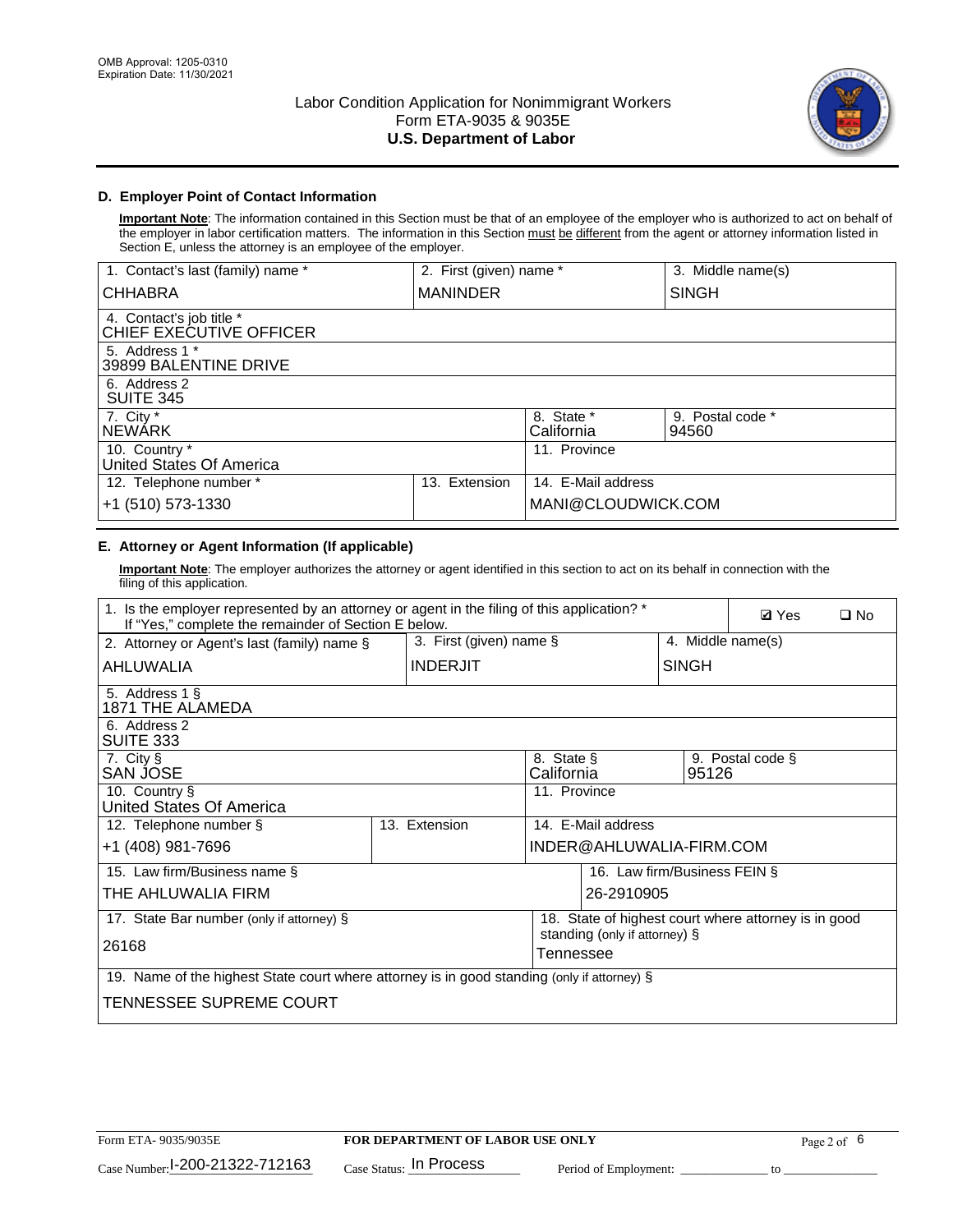

# **D. Employer Point of Contact Information**

**Important Note**: The information contained in this Section must be that of an employee of the employer who is authorized to act on behalf of the employer in labor certification matters. The information in this Section must be different from the agent or attorney information listed in Section E, unless the attorney is an employee of the employer.

| 1. Contact's last (family) name *                   | 2. First (given) name * |                          | 3. Middle name(s)         |
|-----------------------------------------------------|-------------------------|--------------------------|---------------------------|
| <b>CHHABRA</b>                                      | <b>MANINDER</b>         |                          | <b>SINGH</b>              |
| 4. Contact's job title *<br>CHIEF EXECUTIVE OFFICER |                         |                          |                           |
| 5. Address 1 *<br>39899 BALENTINE DRIVE             |                         |                          |                           |
| 6. Address 2<br><b>SUITE 345</b>                    |                         |                          |                           |
| 7. City *<br><b>NEWÁRK</b>                          |                         | 8. State *<br>California | 9. Postal code *<br>94560 |
| 10. Country *<br>United States Of America           |                         | 11. Province             |                           |
| 12. Telephone number *                              | Extension<br>13.        | 14. E-Mail address       |                           |
| +1 (510) 573-1330                                   |                         | MANI@CLOUDWICK.COM       |                           |

# **E. Attorney or Agent Information (If applicable)**

**Important Note**: The employer authorizes the attorney or agent identified in this section to act on its behalf in connection with the filing of this application.

| 1. Is the employer represented by an attorney or agent in the filing of this application? *<br>If "Yes," complete the remainder of Section E below. |                                 |               |                          |                               |                              | <b>Ø</b> Yes<br>$\square$ No                         |  |
|-----------------------------------------------------------------------------------------------------------------------------------------------------|---------------------------------|---------------|--------------------------|-------------------------------|------------------------------|------------------------------------------------------|--|
| 3. First (given) name $\S$<br>4. Middle name(s)<br>2. Attorney or Agent's last (family) name §                                                      |                                 |               |                          |                               |                              |                                                      |  |
| AHLUWALIA                                                                                                                                           | <b>INDERJIT</b><br><b>SINGH</b> |               |                          |                               |                              |                                                      |  |
| 5. Address 1 §<br>1871 THE ALAMEDA                                                                                                                  |                                 |               |                          |                               |                              |                                                      |  |
| 6. Address 2<br>SUITE 333                                                                                                                           |                                 |               |                          |                               |                              |                                                      |  |
| 7. City §<br>SAN JOSE                                                                                                                               |                                 |               | 8. State §<br>California |                               | 95126                        | 9. Postal code §                                     |  |
| 10. Country §<br>United States Of America                                                                                                           |                                 |               | 11. Province             |                               |                              |                                                      |  |
| 12. Telephone number §                                                                                                                              |                                 | 13. Extension |                          | 14. E-Mail address            |                              |                                                      |  |
| +1 (408) 981-7696                                                                                                                                   |                                 |               |                          | INDER@AHLUWALIA-FIRM.COM      |                              |                                                      |  |
| 15. Law firm/Business name §                                                                                                                        |                                 |               |                          |                               | 16. Law firm/Business FEIN § |                                                      |  |
| THE AHLUWALIA FIRM                                                                                                                                  |                                 |               |                          | 26-2910905                    |                              |                                                      |  |
| 17. State Bar number (only if attorney) §                                                                                                           |                                 |               |                          | standing (only if attorney) § |                              | 18. State of highest court where attorney is in good |  |
| 26168                                                                                                                                               |                                 |               | Tennessee                |                               |                              |                                                      |  |
| 19. Name of the highest State court where attorney is in good standing (only if attorney) §                                                         |                                 |               |                          |                               |                              |                                                      |  |
| TENNESSEE SUPREME COURT                                                                                                                             |                                 |               |                          |                               |                              |                                                      |  |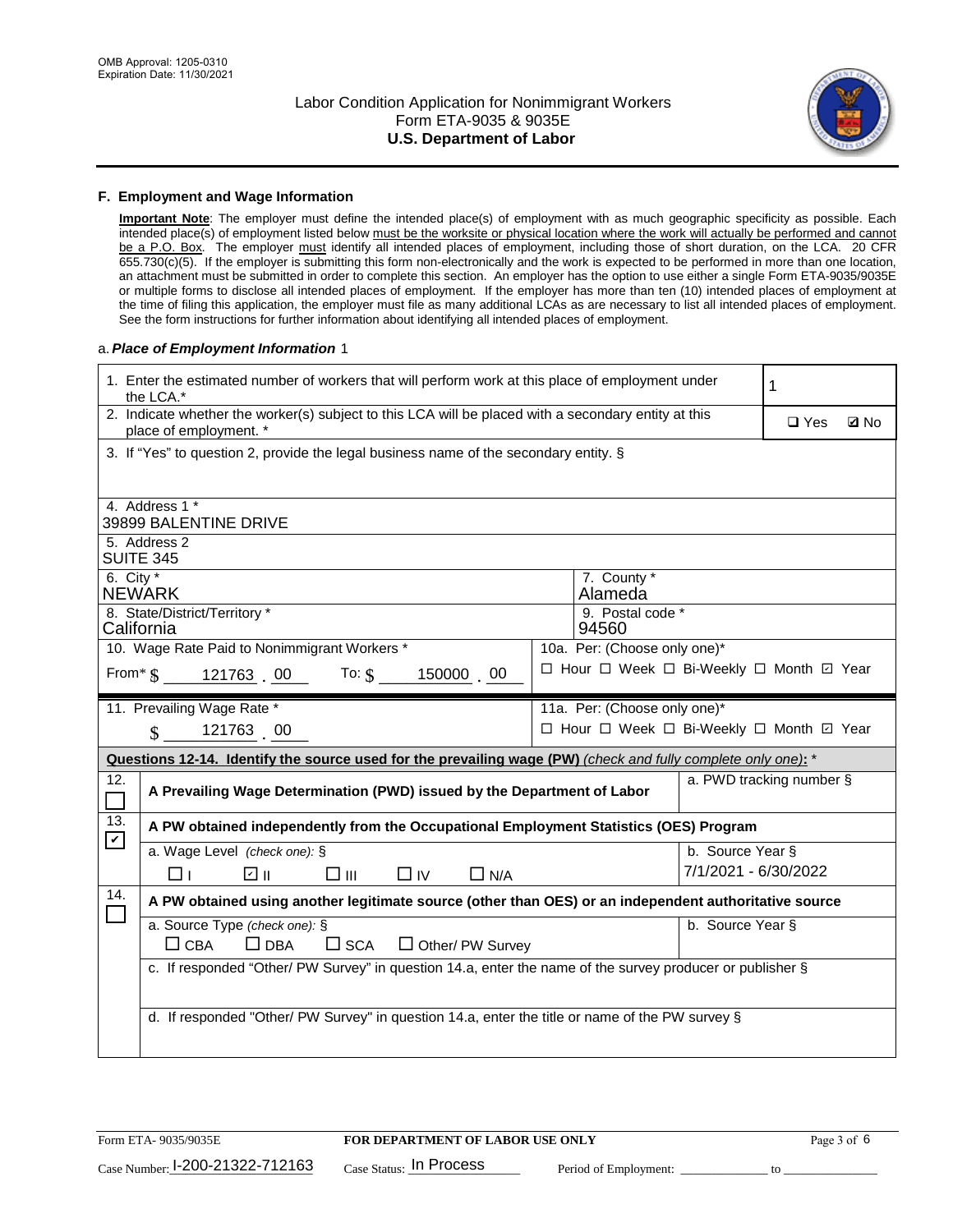

#### **F. Employment and Wage Information**

**Important Note**: The employer must define the intended place(s) of employment with as much geographic specificity as possible. Each intended place(s) of employment listed below must be the worksite or physical location where the work will actually be performed and cannot be a P.O. Box. The employer must identify all intended places of employment, including those of short duration, on the LCA. 20 CFR 655.730(c)(5). If the employer is submitting this form non-electronically and the work is expected to be performed in more than one location, an attachment must be submitted in order to complete this section. An employer has the option to use either a single Form ETA-9035/9035E or multiple forms to disclose all intended places of employment. If the employer has more than ten (10) intended places of employment at the time of filing this application, the employer must file as many additional LCAs as are necessary to list all intended places of employment. See the form instructions for further information about identifying all intended places of employment.

#### a.*Place of Employment Information* 1

|                                                                              | 1. Enter the estimated number of workers that will perform work at this place of employment under<br>the LCA.*                 |  | 1 |                          |            |             |  |  |  |
|------------------------------------------------------------------------------|--------------------------------------------------------------------------------------------------------------------------------|--|---|--------------------------|------------|-------------|--|--|--|
|                                                                              | 2. Indicate whether the worker(s) subject to this LCA will be placed with a secondary entity at this<br>place of employment. * |  |   |                          | $\Box$ Yes | <b>Q</b> No |  |  |  |
|                                                                              | 3. If "Yes" to question 2, provide the legal business name of the secondary entity. §                                          |  |   |                          |            |             |  |  |  |
|                                                                              | 4. Address 1 *                                                                                                                 |  |   |                          |            |             |  |  |  |
|                                                                              | 39899 BALENTINE DRIVE                                                                                                          |  |   |                          |            |             |  |  |  |
|                                                                              | 5. Address 2<br><b>SUITE 345</b>                                                                                               |  |   |                          |            |             |  |  |  |
|                                                                              | 6. City $*$<br>7. County *<br><b>NEWARK</b><br>Alameda                                                                         |  |   |                          |            |             |  |  |  |
|                                                                              | 8. State/District/Territory *<br>9. Postal code *<br>California<br>94560                                                       |  |   |                          |            |             |  |  |  |
| 10. Wage Rate Paid to Nonimmigrant Workers *<br>10a. Per: (Choose only one)* |                                                                                                                                |  |   |                          |            |             |  |  |  |
|                                                                              | □ Hour □ Week □ Bi-Weekly □ Month ☑ Year<br>From $\frac{121763}{.00}$ To: $\frac{6}{5}$ 150000 . 00                            |  |   |                          |            |             |  |  |  |
|                                                                              | 11. Prevailing Wage Rate *<br>11a. Per: (Choose only one)*                                                                     |  |   |                          |            |             |  |  |  |
|                                                                              | □ Hour □ Week □ Bi-Weekly □ Month ☑ Year<br>$\sin 121763$ 00                                                                   |  |   |                          |            |             |  |  |  |
|                                                                              | Questions 12-14. Identify the source used for the prevailing wage (PW) (check and fully complete only one): *                  |  |   |                          |            |             |  |  |  |
| 12.<br>$\Box$                                                                | A Prevailing Wage Determination (PWD) issued by the Department of Labor                                                        |  |   | a. PWD tracking number § |            |             |  |  |  |
| 13.<br>$\mathbf v$                                                           | A PW obtained independently from the Occupational Employment Statistics (OES) Program                                          |  |   |                          |            |             |  |  |  |
|                                                                              | a. Wage Level (check one): §                                                                                                   |  |   | b. Source Year §         |            |             |  |  |  |
|                                                                              | ☑ ⊪<br>$\square$ $\square$<br>$\Box$ IV<br>$\Box$ N/A<br>□⊥                                                                    |  |   | 7/1/2021 - 6/30/2022     |            |             |  |  |  |
| 14.                                                                          | A PW obtained using another legitimate source (other than OES) or an independent authoritative source                          |  |   |                          |            |             |  |  |  |
|                                                                              |                                                                                                                                |  |   | b. Source Year §         |            |             |  |  |  |
|                                                                              | a. Source Type (check one): §                                                                                                  |  |   |                          |            |             |  |  |  |
|                                                                              | $\Box$ CBA<br>$\Box$ DBA<br>$\square$ SCA<br>$\Box$ Other/ PW Survey                                                           |  |   |                          |            |             |  |  |  |
|                                                                              | c. If responded "Other/ PW Survey" in question 14.a, enter the name of the survey producer or publisher §                      |  |   |                          |            |             |  |  |  |
|                                                                              |                                                                                                                                |  |   |                          |            |             |  |  |  |
|                                                                              | d. If responded "Other/ PW Survey" in question 14.a, enter the title or name of the PW survey §                                |  |   |                          |            |             |  |  |  |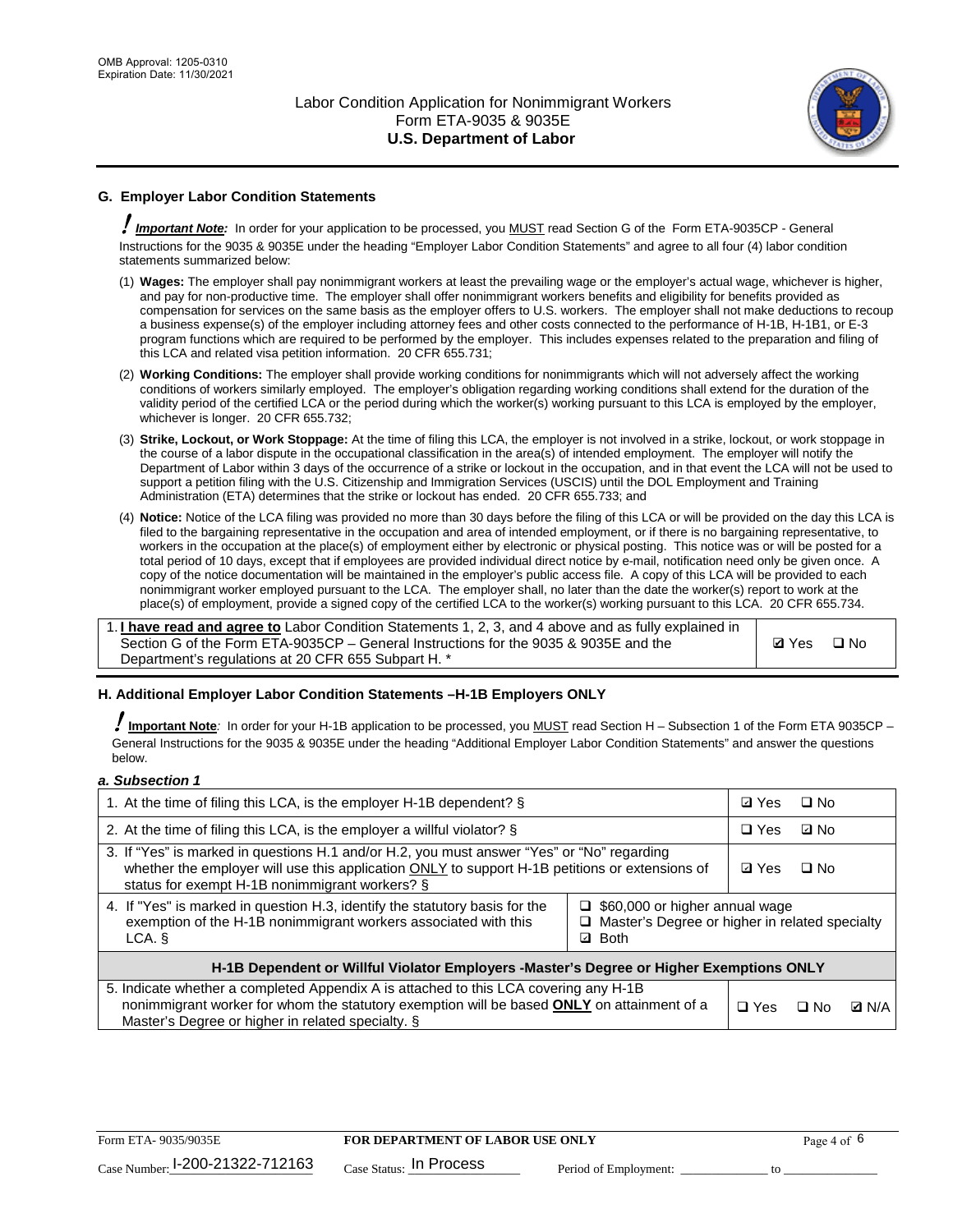

# **G. Employer Labor Condition Statements**

! *Important Note:* In order for your application to be processed, you MUST read Section G of the Form ETA-9035CP - General Instructions for the 9035 & 9035E under the heading "Employer Labor Condition Statements" and agree to all four (4) labor condition statements summarized below:

- (1) **Wages:** The employer shall pay nonimmigrant workers at least the prevailing wage or the employer's actual wage, whichever is higher, and pay for non-productive time. The employer shall offer nonimmigrant workers benefits and eligibility for benefits provided as compensation for services on the same basis as the employer offers to U.S. workers. The employer shall not make deductions to recoup a business expense(s) of the employer including attorney fees and other costs connected to the performance of H-1B, H-1B1, or E-3 program functions which are required to be performed by the employer. This includes expenses related to the preparation and filing of this LCA and related visa petition information. 20 CFR 655.731;
- (2) **Working Conditions:** The employer shall provide working conditions for nonimmigrants which will not adversely affect the working conditions of workers similarly employed. The employer's obligation regarding working conditions shall extend for the duration of the validity period of the certified LCA or the period during which the worker(s) working pursuant to this LCA is employed by the employer, whichever is longer. 20 CFR 655.732;
- (3) **Strike, Lockout, or Work Stoppage:** At the time of filing this LCA, the employer is not involved in a strike, lockout, or work stoppage in the course of a labor dispute in the occupational classification in the area(s) of intended employment. The employer will notify the Department of Labor within 3 days of the occurrence of a strike or lockout in the occupation, and in that event the LCA will not be used to support a petition filing with the U.S. Citizenship and Immigration Services (USCIS) until the DOL Employment and Training Administration (ETA) determines that the strike or lockout has ended. 20 CFR 655.733; and
- (4) **Notice:** Notice of the LCA filing was provided no more than 30 days before the filing of this LCA or will be provided on the day this LCA is filed to the bargaining representative in the occupation and area of intended employment, or if there is no bargaining representative, to workers in the occupation at the place(s) of employment either by electronic or physical posting. This notice was or will be posted for a total period of 10 days, except that if employees are provided individual direct notice by e-mail, notification need only be given once. A copy of the notice documentation will be maintained in the employer's public access file. A copy of this LCA will be provided to each nonimmigrant worker employed pursuant to the LCA. The employer shall, no later than the date the worker(s) report to work at the place(s) of employment, provide a signed copy of the certified LCA to the worker(s) working pursuant to this LCA. 20 CFR 655.734.

1. **I have read and agree to** Labor Condition Statements 1, 2, 3, and 4 above and as fully explained in Section G of the Form ETA-9035CP – General Instructions for the 9035 & 9035E and the Department's regulations at 20 CFR 655 Subpart H. \*

**Ø**Yes ロNo

### **H. Additional Employer Labor Condition Statements –H-1B Employers ONLY**

!**Important Note***:* In order for your H-1B application to be processed, you MUST read Section H – Subsection 1 of the Form ETA 9035CP – General Instructions for the 9035 & 9035E under the heading "Additional Employer Labor Condition Statements" and answer the questions below.

#### *a. Subsection 1*

| 1. At the time of filing this LCA, is the employer H-1B dependent? §                                                                                                                                                                           | ⊡ Yes                                                                                     | $\square$ No |              |  |
|------------------------------------------------------------------------------------------------------------------------------------------------------------------------------------------------------------------------------------------------|-------------------------------------------------------------------------------------------|--------------|--------------|--|
| 2. At the time of filing this LCA, is the employer a willful violator? $\S$                                                                                                                                                                    | $\Box$ Yes                                                                                | ⊡ No         |              |  |
| 3. If "Yes" is marked in questions H.1 and/or H.2, you must answer "Yes" or "No" regarding<br>whether the employer will use this application ONLY to support H-1B petitions or extensions of<br>status for exempt H-1B nonimmigrant workers? § | <b>☑</b> Yes                                                                              | $\Box$ No    |              |  |
| 4. If "Yes" is marked in question H.3, identify the statutory basis for the<br>exemption of the H-1B nonimmigrant workers associated with this<br>LCA. §                                                                                       | $\Box$ \$60,000 or higher annual wage<br>□ Master's Degree or higher in related specialty |              |              |  |
| H-1B Dependent or Willful Violator Employers -Master's Degree or Higher Exemptions ONLY                                                                                                                                                        |                                                                                           |              |              |  |
| 5. Indicate whether a completed Appendix A is attached to this LCA covering any H-1B<br>nonimmigrant worker for whom the statutory exemption will be based <b>ONLY</b> on attainment of a<br>Master's Degree or higher in related specialty. § | $\Box$ Yes                                                                                | ⊟ No         | <b>Q</b> N/A |  |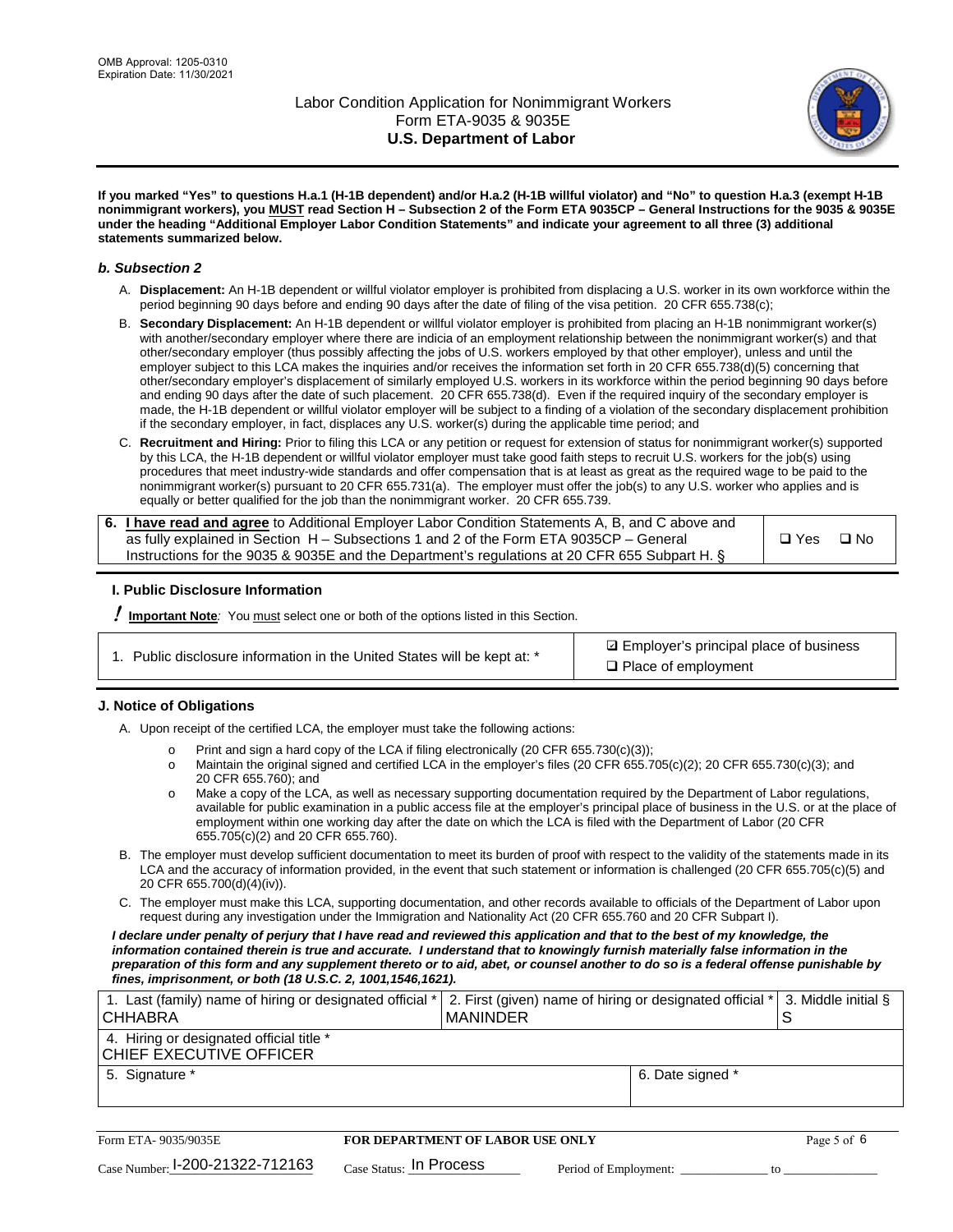

**If you marked "Yes" to questions H.a.1 (H-1B dependent) and/or H.a.2 (H-1B willful violator) and "No" to question H.a.3 (exempt H-1B nonimmigrant workers), you MUST read Section H – Subsection 2 of the Form ETA 9035CP – General Instructions for the 9035 & 9035E under the heading "Additional Employer Labor Condition Statements" and indicate your agreement to all three (3) additional statements summarized below.**

#### *b. Subsection 2*

- A. **Displacement:** An H-1B dependent or willful violator employer is prohibited from displacing a U.S. worker in its own workforce within the period beginning 90 days before and ending 90 days after the date of filing of the visa petition. 20 CFR 655.738(c);
- B. **Secondary Displacement:** An H-1B dependent or willful violator employer is prohibited from placing an H-1B nonimmigrant worker(s) with another/secondary employer where there are indicia of an employment relationship between the nonimmigrant worker(s) and that other/secondary employer (thus possibly affecting the jobs of U.S. workers employed by that other employer), unless and until the employer subject to this LCA makes the inquiries and/or receives the information set forth in 20 CFR 655.738(d)(5) concerning that other/secondary employer's displacement of similarly employed U.S. workers in its workforce within the period beginning 90 days before and ending 90 days after the date of such placement. 20 CFR 655.738(d). Even if the required inquiry of the secondary employer is made, the H-1B dependent or willful violator employer will be subject to a finding of a violation of the secondary displacement prohibition if the secondary employer, in fact, displaces any U.S. worker(s) during the applicable time period; and
- C. **Recruitment and Hiring:** Prior to filing this LCA or any petition or request for extension of status for nonimmigrant worker(s) supported by this LCA, the H-1B dependent or willful violator employer must take good faith steps to recruit U.S. workers for the job(s) using procedures that meet industry-wide standards and offer compensation that is at least as great as the required wage to be paid to the nonimmigrant worker(s) pursuant to 20 CFR 655.731(a). The employer must offer the job(s) to any U.S. worker who applies and is equally or better qualified for the job than the nonimmigrant worker. 20 CFR 655.739.

| 6. I have read and agree to Additional Employer Labor Condition Statements A, B, and C above and |       |           |
|--------------------------------------------------------------------------------------------------|-------|-----------|
| as fully explained in Section H – Subsections 1 and 2 of the Form ETA 9035CP – General           | □ Yes | $\Box$ No |
| Instructions for the 9035 & 9035E and the Department's regulations at 20 CFR 655 Subpart H. §    |       |           |

### **I. Public Disclosure Information**

! **Important Note***:* You must select one or both of the options listed in this Section.

| 1. Public disclosure information in the United States will be kept at: * |  |  |  |  |  |  |  |  |  |
|--------------------------------------------------------------------------|--|--|--|--|--|--|--|--|--|
|--------------------------------------------------------------------------|--|--|--|--|--|--|--|--|--|

**sqrt** Employer's principal place of business □ Place of employment

### **J. Notice of Obligations**

A. Upon receipt of the certified LCA, the employer must take the following actions:

- o Print and sign a hard copy of the LCA if filing electronically (20 CFR 655.730(c)(3));<br>
Maintain the original signed and certified LCA in the employer's files (20 CFR 655.7
- Maintain the original signed and certified LCA in the employer's files (20 CFR 655.705(c)(2); 20 CFR 655.730(c)(3); and 20 CFR 655.760); and
- o Make a copy of the LCA, as well as necessary supporting documentation required by the Department of Labor regulations, available for public examination in a public access file at the employer's principal place of business in the U.S. or at the place of employment within one working day after the date on which the LCA is filed with the Department of Labor (20 CFR 655.705(c)(2) and 20 CFR 655.760).
- B. The employer must develop sufficient documentation to meet its burden of proof with respect to the validity of the statements made in its LCA and the accuracy of information provided, in the event that such statement or information is challenged (20 CFR 655.705(c)(5) and 20 CFR 655.700(d)(4)(iv)).
- C. The employer must make this LCA, supporting documentation, and other records available to officials of the Department of Labor upon request during any investigation under the Immigration and Nationality Act (20 CFR 655.760 and 20 CFR Subpart I).

*I declare under penalty of perjury that I have read and reviewed this application and that to the best of my knowledge, the*  information contained therein is true and accurate. I understand that to knowingly furnish materially false information in the *preparation of this form and any supplement thereto or to aid, abet, or counsel another to do so is a federal offense punishable by fines, imprisonment, or both (18 U.S.C. 2, 1001,1546,1621).*

| 1. Last (family) name of hiring or designated official *<br>ICHHABRA | 2. First (given) name of hiring or designated official * 3. Middle initial §<br>I MANINDER |                  |  |
|----------------------------------------------------------------------|--------------------------------------------------------------------------------------------|------------------|--|
| 4. Hiring or designated official title *<br> CHIEF EXECUTIVE OFFICER |                                                                                            |                  |  |
| 5. Signature *                                                       |                                                                                            | 6. Date signed * |  |